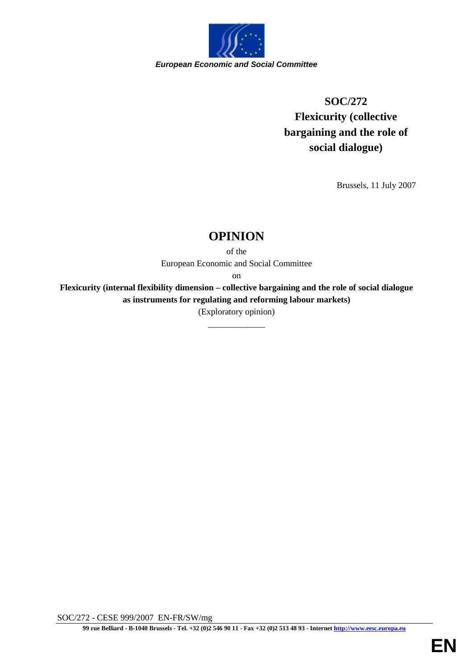

# **SOC/272 Flexicurity (collective bargaining and the role of social dialogue)**

Brussels, 11 July 2007

# **OPINION**

of the European Economic and Social Committee

on

**Flexicurity (internal flexibility dimension – collective bargaining and the role of social dialogue as instruments for regulating and reforming labour markets)**

(Exploratory opinion) \_\_\_\_\_\_\_\_\_\_\_\_\_

SOC/272 - CESE 999/2007 EN-FR/SW/mg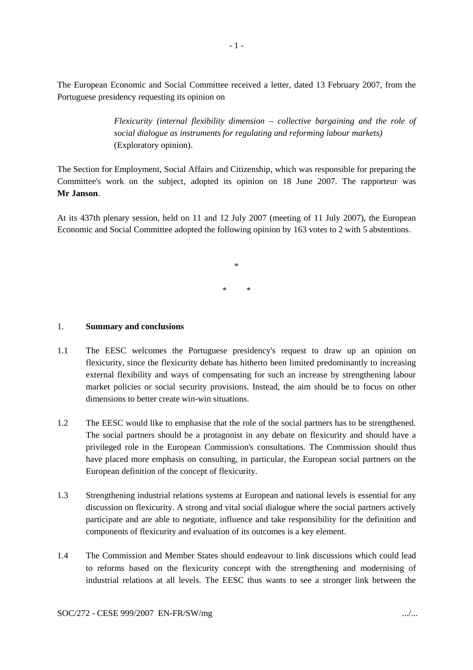The European Economic and Social Committee received a letter, dated 13 February 2007, from the Portuguese presidency requesting its opinion on

> *Flexicurity (internal flexibility dimension – collective bargaining and the role of social dialogue as instruments for regulating and reforming labour markets)* (Exploratory opinion).

The Section for Employment, Social Affairs and Citizenship, which was responsible for preparing the Committee's work on the subject, adopted its opinion on 18 June 2007. The rapporteur was **Mr Janson**.

At its 437th plenary session, held on 11 and 12 July 2007 (meeting of 11 July 2007), the European Economic and Social Committee adopted the following opinion by 163 votes to 2 with 5 abstentions.

> \* \* \*

#### 1. **Summary and conclusions**

- 1.1 The EESC welcomes the Portuguese presidency's request to draw up an opinion on flexicurity, since the flexicurity debate has hitherto been limited predominantly to increasing external flexibility and ways of compensating for such an increase by strengthening labour market policies or social security provisions. Instead, the aim should be to focus on other dimensions to better create win-win situations.
- 1.2 The EESC would like to emphasise that the role of the social partners has to be strengthened. The social partners should be a protagonist in any debate on flexicurity and should have a privileged role in the European Commission's consultations. The Commission should thus have placed more emphasis on consulting, in particular, the European social partners on the European definition of the concept of flexicurity.
- 1.3 Strengthening industrial relations systems at European and national levels is essential for any discussion on flexicurity. A strong and vital social dialogue where the social partners actively participate and are able to negotiate, influence and take responsibility for the definition and components of flexicurity and evaluation of its outcomes is a key element.
- 1.4 The Commission and Member States should endeavour to link discussions which could lead to reforms based on the flexicurity concept with the strengthening and modernising of industrial relations at all levels. The EESC thus wants to see a stronger link between the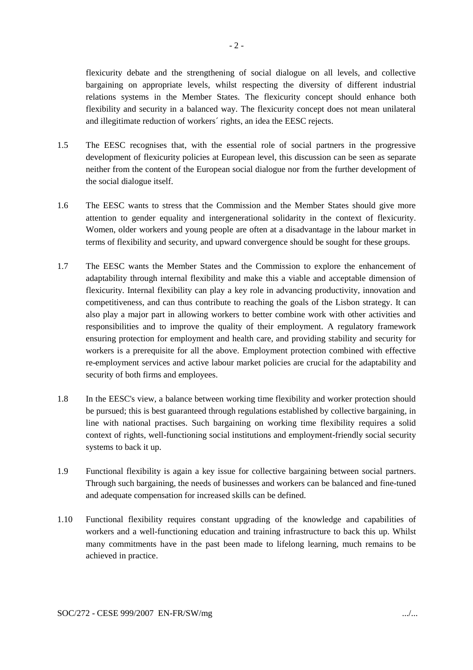flexicurity debate and the strengthening of social dialogue on all levels, and collective bargaining on appropriate levels, whilst respecting the diversity of different industrial relations systems in the Member States. The flexicurity concept should enhance both flexibility and security in a balanced way. The flexicurity concept does not mean unilateral and illegitimate reduction of workers´ rights, an idea the EESC rejects.

- 1.5 The EESC recognises that, with the essential role of social partners in the progressive development of flexicurity policies at European level, this discussion can be seen as separate neither from the content of the European social dialogue nor from the further development of the social dialogue itself.
- 1.6 The EESC wants to stress that the Commission and the Member States should give more attention to gender equality and intergenerational solidarity in the context of flexicurity. Women, older workers and young people are often at a disadvantage in the labour market in terms of flexibility and security, and upward convergence should be sought for these groups.
- 1.7 The EESC wants the Member States and the Commission to explore the enhancement of adaptability through internal flexibility and make this a viable and acceptable dimension of flexicurity. Internal flexibility can play a key role in advancing productivity, innovation and competitiveness, and can thus contribute to reaching the goals of the Lisbon strategy. It can also play a major part in allowing workers to better combine work with other activities and responsibilities and to improve the quality of their employment. A regulatory framework ensuring protection for employment and health care, and providing stability and security for workers is a prerequisite for all the above. Employment protection combined with effective re-employment services and active labour market policies are crucial for the adaptability and security of both firms and employees.
- 1.8 In the EESC's view, a balance between working time flexibility and worker protection should be pursued; this is best guaranteed through regulations established by collective bargaining, in line with national practises. Such bargaining on working time flexibility requires a solid context of rights, well-functioning social institutions and employment-friendly social security systems to back it up.
- 1.9 Functional flexibility is again a key issue for collective bargaining between social partners. Through such bargaining, the needs of businesses and workers can be balanced and fine-tuned and adequate compensation for increased skills can be defined.
- 1.10 Functional flexibility requires constant upgrading of the knowledge and capabilities of workers and a well-functioning education and training infrastructure to back this up. Whilst many commitments have in the past been made to lifelong learning, much remains to be achieved in practice.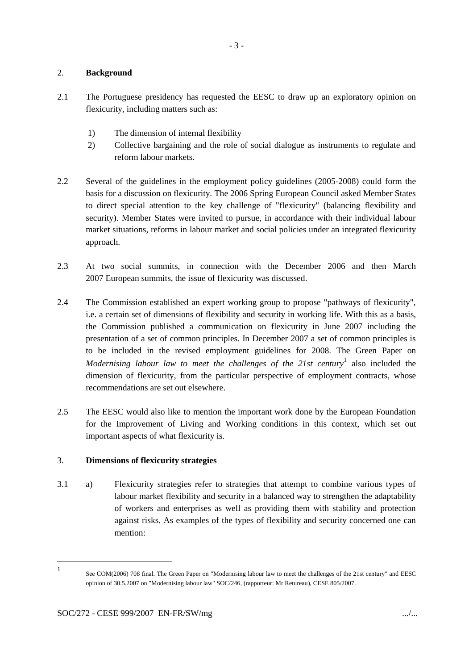#### 2. **Background**

- 2.1 The Portuguese presidency has requested the EESC to draw up an exploratory opinion on flexicurity, including matters such as:
	- 1) The dimension of internal flexibility
	- 2) Collective bargaining and the role of social dialogue as instruments to regulate and reform labour markets.
- 2.2 Several of the guidelines in the employment policy guidelines (2005-2008) could form the basis for a discussion on flexicurity. The 2006 Spring European Council asked Member States to direct special attention to the key challenge of "flexicurity" (balancing flexibility and security). Member States were invited to pursue, in accordance with their individual labour market situations, reforms in labour market and social policies under an integrated flexicurity approach.
- 2.3 At two social summits, in connection with the December 2006 and then March 2007 European summits, the issue of flexicurity was discussed.
- 2.4 The Commission established an expert working group to propose "pathways of flexicurity", i.e. a certain set of dimensions of flexibility and security in working life. With this as a basis, the Commission published a communication on flexicurity in June 2007 including the presentation of a set of common principles. In December 2007 a set of common principles is to be included in the revised employment guidelines for 2008. The Green Paper on *Modernising labour law to meet the challenges of the 21st century*<sup>1</sup> also included the dimension of flexicurity, from the particular perspective of employment contracts, whose recommendations are set out elsewhere.
- 2.5 The EESC would also like to mention the important work done by the European Foundation for the Improvement of Living and Working conditions in this context, which set out important aspects of what flexicurity is.

## 3. **Dimensions of flexicurity strategies**

3.1 a) Flexicurity strategies refer to strategies that attempt to combine various types of labour market flexibility and security in a balanced way to strengthen the adaptability of workers and enterprises as well as providing them with stability and protection against risks. As examples of the types of flexibility and security concerned one can mention:

<sup>1</sup> See COM(2006) 708 final. The Green Paper on "Modernising labour law to meet the challenges of the 21st century" and EESC opinion of 30.5.2007 on "Modernising labour law" SOC/246, (rapporteur: Mr Retureau), CESE 805/2007.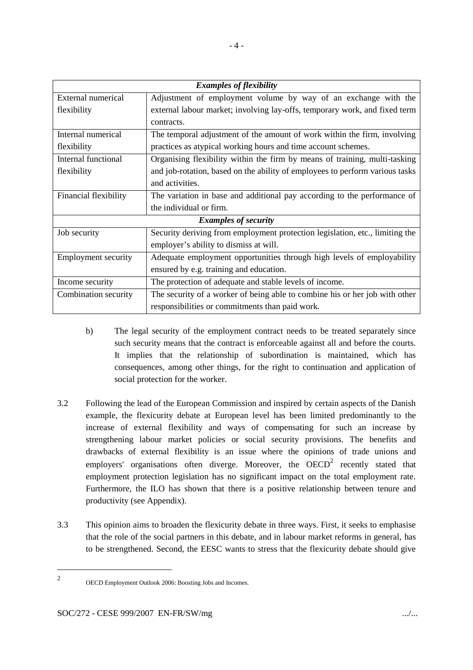| <b>Examples of flexibility</b> |                                                                              |
|--------------------------------|------------------------------------------------------------------------------|
| External numerical             | Adjustment of employment volume by way of an exchange with the               |
| flexibility                    | external labour market; involving lay-offs, temporary work, and fixed term   |
|                                | contracts.                                                                   |
| Internal numerical             | The temporal adjustment of the amount of work within the firm, involving     |
| flexibility                    | practices as atypical working hours and time account schemes.                |
| Internal functional            | Organising flexibility within the firm by means of training, multi-tasking   |
| flexibility                    | and job-rotation, based on the ability of employees to perform various tasks |
|                                | and activities.                                                              |
| Financial flexibility          | The variation in base and additional pay according to the performance of     |
|                                | the individual or firm.                                                      |
| <b>Examples of security</b>    |                                                                              |
| Job security                   | Security deriving from employment protection legislation, etc., limiting the |
|                                | employer's ability to dismiss at will.                                       |
| <b>Employment security</b>     | Adequate employment opportunities through high levels of employability       |
|                                | ensured by e.g. training and education.                                      |
| Income security                | The protection of adequate and stable levels of income.                      |
| Combination security           | The security of a worker of being able to combine his or her job with other  |
|                                | responsibilities or commitments than paid work.                              |

- b) The legal security of the employment contract needs to be treated separately since such security means that the contract is enforceable against all and before the courts. It implies that the relationship of subordination is maintained, which has consequences, among other things, for the right to continuation and application of social protection for the worker.
- 3.2 Following the lead of the European Commission and inspired by certain aspects of the Danish example, the flexicurity debate at European level has been limited predominantly to the increase of external flexibility and ways of compensating for such an increase by strengthening labour market policies or social security provisions. The benefits and drawbacks of external flexibility is an issue where the opinions of trade unions and employers' organisations often diverge. Moreover, the  $OECD<sup>2</sup>$  recently stated that employment protection legislation has no significant impact on the total employment rate. Furthermore, the ILO has shown that there is a positive relationship between tenure and productivity (see Appendix).
- 3.3 This opinion aims to broaden the flexicurity debate in three ways. First, it seeks to emphasise that the role of the social partners in this debate, and in labour market reforms in general, has to be strengthened. Second, the EESC wants to stress that the flexicurity debate should give

<sup>2</sup>

OECD Employment Outlook 2006: Boosting Jobs and Incomes.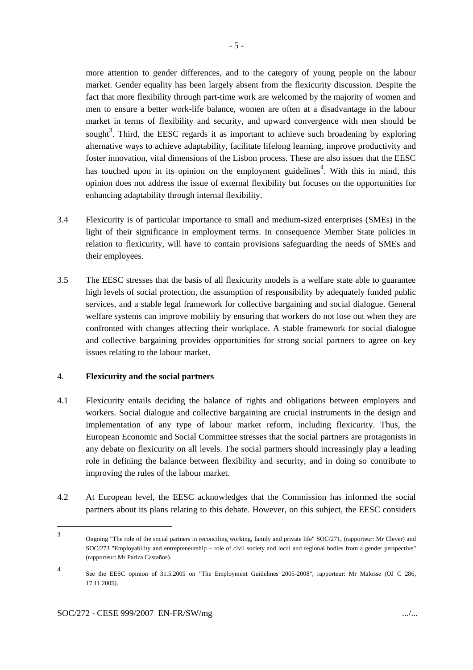more attention to gender differences, and to the category of young people on the labour market. Gender equality has been largely absent from the flexicurity discussion. Despite the fact that more flexibility through part-time work are welcomed by the majority of women and men to ensure a better work-life balance, women are often at a disadvantage in the labour market in terms of flexibility and security, and upward convergence with men should be sought<sup>3</sup>. Third, the EESC regards it as important to achieve such broadening by exploring alternative ways to achieve adaptability, facilitate lifelong learning, improve productivity and foster innovation, vital dimensions of the Lisbon process. These are also issues that the EESC has touched upon in its opinion on the employment guidelines<sup>4</sup>. With this in mind, this opinion does not address the issue of external flexibility but focuses on the opportunities for enhancing adaptability through internal flexibility.

- 3.4 Flexicurity is of particular importance to small and medium-sized enterprises (SMEs) in the light of their significance in employment terms. In consequence Member State policies in relation to flexicurity, will have to contain provisions safeguarding the needs of SMEs and their employees.
- 3.5 The EESC stresses that the basis of all flexicurity models is a welfare state able to guarantee high levels of social protection, the assumption of responsibility by adequately funded public services, and a stable legal framework for collective bargaining and social dialogue. General welfare systems can improve mobility by ensuring that workers do not lose out when they are confronted with changes affecting their workplace. A stable framework for social dialogue and collective bargaining provides opportunities for strong social partners to agree on key issues relating to the labour market.

#### 4. **Flexicurity and the social partners**

- 4.1 Flexicurity entails deciding the balance of rights and obligations between employers and workers. Social dialogue and collective bargaining are crucial instruments in the design and implementation of any type of labour market reform, including flexicurity. Thus, the European Economic and Social Committee stresses that the social partners are protagonists in any debate on flexicurity on all levels. The social partners should increasingly play a leading role in defining the balance between flexibility and security, and in doing so contribute to improving the rules of the labour market.
- 4.2 At European level, the EESC acknowledges that the Commission has informed the social partners about its plans relating to this debate. However, on this subject, the EESC considers

<sup>3</sup> Ongoing "The role of the social partners in reconciling working, family and private life" SOC/271, (rapporteur: Mr Clever) and SOC/273 "Employability and entrepreneurship – role of civil society and local and regional bodies from a gender perspective" (rapporteur: Mr Pariza Castaños).

<sup>4</sup> See the EESC opinion of 31.5.2005 on *"*The Employment Guidelines 2005-2008*",* rapporteur: Mr Malosse (OJ C 286, 17.11.2005).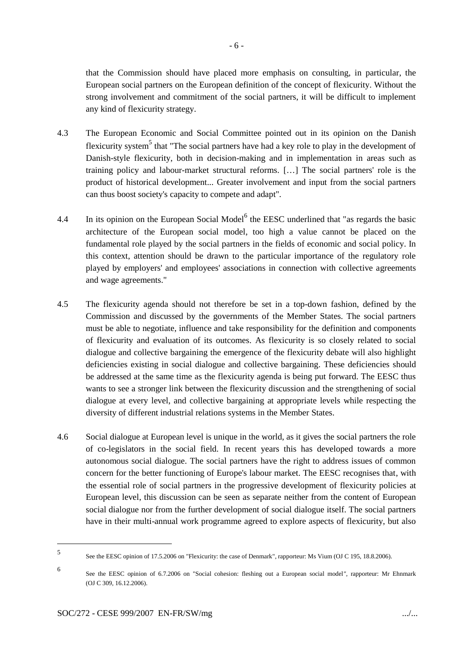that the Commission should have placed more emphasis on consulting, in particular, the European social partners on the European definition of the concept of flexicurity. Without the strong involvement and commitment of the social partners, it will be difficult to implement any kind of flexicurity strategy.

- 4.3 The European Economic and Social Committee pointed out in its opinion on the Danish flexicurity system<sup>5</sup> that "The social partners have had a key role to play in the development of Danish-style flexicurity, both in decision-making and in implementation in areas such as training policy and labour-market structural reforms. […] The social partners' role is the product of historical development... Greater involvement and input from the social partners can thus boost society's capacity to compete and adapt".
- 4.4 In its opinion on the European Social Model $<sup>6</sup>$  the EESC underlined that "as regards the basic</sup> architecture of the European social model, too high a value cannot be placed on the fundamental role played by the social partners in the fields of economic and social policy. In this context, attention should be drawn to the particular importance of the regulatory role played by employers' and employees' associations in connection with collective agreements and wage agreements."
- 4.5 The flexicurity agenda should not therefore be set in a top-down fashion, defined by the Commission and discussed by the governments of the Member States. The social partners must be able to negotiate, influence and take responsibility for the definition and components of flexicurity and evaluation of its outcomes. As flexicurity is so closely related to social dialogue and collective bargaining the emergence of the flexicurity debate will also highlight deficiencies existing in social dialogue and collective bargaining. These deficiencies should be addressed at the same time as the flexicurity agenda is being put forward. The EESC thus wants to see a stronger link between the flexicurity discussion and the strengthening of social dialogue at every level, and collective bargaining at appropriate levels while respecting the diversity of different industrial relations systems in the Member States.
- 4.6 Social dialogue at European level is unique in the world, as it gives the social partners the role of co-legislators in the social field. In recent years this has developed towards a more autonomous social dialogue. The social partners have the right to address issues of common concern for the better functioning of Europe's labour market. The EESC recognises that, with the essential role of social partners in the progressive development of flexicurity policies at European level, this discussion can be seen as separate neither from the content of European social dialogue nor from the further development of social dialogue itself. The social partners have in their multi-annual work programme agreed to explore aspects of flexicurity, but also

<sup>5</sup> See the EESC opinion of 17.5.2006 on "Flexicurity: the case of Denmark", rapporteur: Ms Vium (OJ C 195, 18.8.2006).

<sup>6</sup> See the EESC opinion of 6.7.2006 on "Social cohesion: fleshing out a European social model*",* rapporteur: Mr Ehnmark (OJ C 309, 16.12.2006).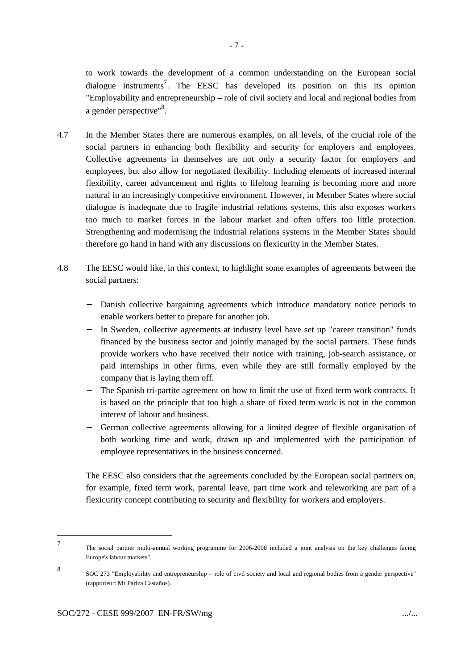to work towards the development of a common understanding on the European social dialogue instruments<sup>7</sup>. The EESC has developed its position on this its opinion "Employability and entrepreneurship – role of civil society and local and regional bodies from a gender perspective"<sup>8</sup>.

- 4.7 In the Member States there are numerous examples, on all levels, of the crucial role of the social partners in enhancing both flexibility and security for employers and employees. Collective agreements in themselves are not only a security factor for employers and employees, but also allow for negotiated flexibility. Including elements of increased internal flexibility, career advancement and rights to lifelong learning is becoming more and more natural in an increasingly competitive environment. However, in Member States where social dialogue is inadequate due to fragile industrial relations systems, this also exposes workers too much to market forces in the labour market and often offers too little protection. Strengthening and modernising the industrial relations systems in the Member States should therefore go hand in hand with any discussions on flexicurity in the Member States.
- 4.8 The EESC would like, in this context, to highlight some examples of agreements between the social partners:
	- − Danish collective bargaining agreements which introduce mandatory notice periods to enable workers better to prepare for another job.
	- − In Sweden, collective agreements at industry level have set up "career transition" funds financed by the business sector and jointly managed by the social partners. These funds provide workers who have received their notice with training, job-search assistance, or paid internships in other firms, even while they are still formally employed by the company that is laying them off.
	- The Spanish tri-partite agreement on how to limit the use of fixed term work contracts. It is based on the principle that too high a share of fixed term work is not in the common interest of labour and business.
	- − German collective agreements allowing for a limited degree of flexible organisation of both working time and work, drawn up and implemented with the participation of employee representatives in the business concerned.

The EESC also considers that the agreements concluded by the European social partners on, for example, fixed term work, parental leave, part time work and teleworking are part of a flexicurity concept contributing to security and flexibility for workers and employers.

<sup>7</sup> The social partner multi-annual working programme for 2006-2008 included a joint analysis on the key challenges facing Europe's labour markets".

<sup>8</sup> SOC 273 "Employability and entrepreneurship – role of civil society and local and regional bodies from a gender perspective" (rapporteur: Mr Pariza Castaños).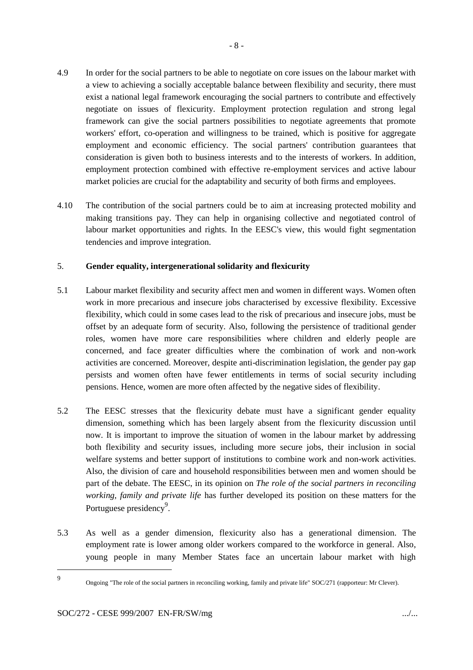- 4.9 In order for the social partners to be able to negotiate on core issues on the labour market with a view to achieving a socially acceptable balance between flexibility and security, there must exist a national legal framework encouraging the social partners to contribute and effectively negotiate on issues of flexicurity. Employment protection regulation and strong legal framework can give the social partners possibilities to negotiate agreements that promote workers' effort, co-operation and willingness to be trained, which is positive for aggregate employment and economic efficiency. The social partners' contribution guarantees that consideration is given both to business interests and to the interests of workers. In addition, employment protection combined with effective re-employment services and active labour market policies are crucial for the adaptability and security of both firms and employees.
- 4.10 The contribution of the social partners could be to aim at increasing protected mobility and making transitions pay. They can help in organising collective and negotiated control of labour market opportunities and rights. In the EESC's view, this would fight segmentation tendencies and improve integration.

#### 5. **Gender equality, intergenerational solidarity and flexicurity**

- 5.1 Labour market flexibility and security affect men and women in different ways. Women often work in more precarious and insecure jobs characterised by excessive flexibility. Excessive flexibility, which could in some cases lead to the risk of precarious and insecure jobs, must be offset by an adequate form of security. Also, following the persistence of traditional gender roles, women have more care responsibilities where children and elderly people are concerned, and face greater difficulties where the combination of work and non-work activities are concerned. Moreover, despite anti-discrimination legislation, the gender pay gap persists and women often have fewer entitlements in terms of social security including pensions. Hence, women are more often affected by the negative sides of flexibility.
- 5.2 The EESC stresses that the flexicurity debate must have a significant gender equality dimension, something which has been largely absent from the flexicurity discussion until now. It is important to improve the situation of women in the labour market by addressing both flexibility and security issues, including more secure jobs, their inclusion in social welfare systems and better support of institutions to combine work and non-work activities. Also, the division of care and household responsibilities between men and women should be part of the debate. The EESC, in its opinion on *The role of the social partners in reconciling working, family and private life* has further developed its position on these matters for the Portuguese presidency<sup>9</sup>.
- 5.3 As well as a gender dimension, flexicurity also has a generational dimension. The employment rate is lower among older workers compared to the workforce in general. Also, young people in many Member States face an uncertain labour market with high

9

Ongoing "The role of the social partners in reconciling working, family and private life" SOC/271 (rapporteur: Mr Clever).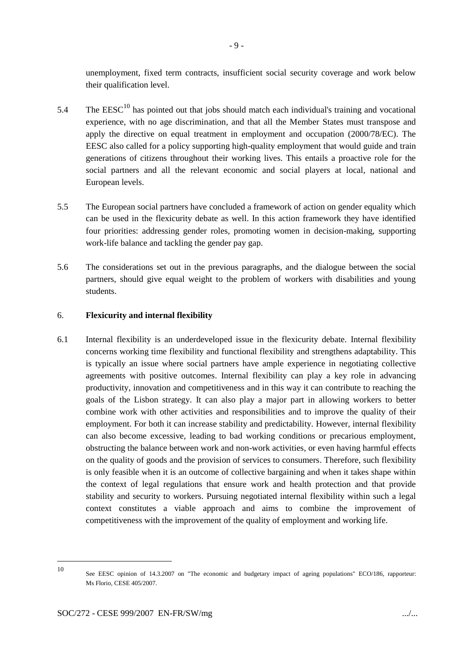unemployment, fixed term contracts, insufficient social security coverage and work below their qualification level.

- 5.4 The  $\text{EESC}^{10}$  has pointed out that jobs should match each individual's training and vocational experience, with no age discrimination, and that all the Member States must transpose and apply the directive on equal treatment in employment and occupation (2000/78/EC). The EESC also called for a policy supporting high-quality employment that would guide and train generations of citizens throughout their working lives. This entails a proactive role for the social partners and all the relevant economic and social players at local, national and European levels.
- 5.5 The European social partners have concluded a framework of action on gender equality which can be used in the flexicurity debate as well. In this action framework they have identified four priorities: addressing gender roles, promoting women in decision-making, supporting work-life balance and tackling the gender pay gap.
- 5.6 The considerations set out in the previous paragraphs, and the dialogue between the social partners, should give equal weight to the problem of workers with disabilities and young students.

#### 6. **Flexicurity and internal flexibility**

6.1 Internal flexibility is an underdeveloped issue in the flexicurity debate. Internal flexibility concerns working time flexibility and functional flexibility and strengthens adaptability. This is typically an issue where social partners have ample experience in negotiating collective agreements with positive outcomes. Internal flexibility can play a key role in advancing productivity, innovation and competitiveness and in this way it can contribute to reaching the goals of the Lisbon strategy. It can also play a major part in allowing workers to better combine work with other activities and responsibilities and to improve the quality of their employment. For both it can increase stability and predictability. However, internal flexibility can also become excessive, leading to bad working conditions or precarious employment, obstructing the balance between work and non-work activities, or even having harmful effects on the quality of goods and the provision of services to consumers. Therefore, such flexibility is only feasible when it is an outcome of collective bargaining and when it takes shape within the context of legal regulations that ensure work and health protection and that provide stability and security to workers. Pursuing negotiated internal flexibility within such a legal context constitutes a viable approach and aims to combine the improvement of competitiveness with the improvement of the quality of employment and working life.

<sup>10</sup>

See EESC opinion of 14.3.2007 on "The economic and budgetary impact of ageing populations" ECO/186, rapporteur: Ms Florio, CESE 405/2007.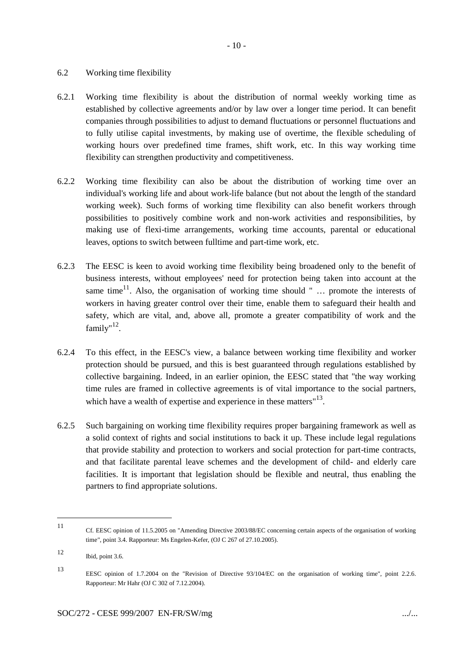#### 6.2 Working time flexibility

- 6.2.1 Working time flexibility is about the distribution of normal weekly working time as established by collective agreements and/or by law over a longer time period. It can benefit companies through possibilities to adjust to demand fluctuations or personnel fluctuations and to fully utilise capital investments, by making use of overtime, the flexible scheduling of working hours over predefined time frames, shift work, etc. In this way working time flexibility can strengthen productivity and competitiveness.
- 6.2.2 Working time flexibility can also be about the distribution of working time over an individual's working life and about work-life balance (but not about the length of the standard working week). Such forms of working time flexibility can also benefit workers through possibilities to positively combine work and non-work activities and responsibilities, by making use of flexi-time arrangements, working time accounts, parental or educational leaves, options to switch between fulltime and part-time work, etc.
- 6.2.3 The EESC is keen to avoid working time flexibility being broadened only to the benefit of business interests, without employees' need for protection being taken into account at the same time<sup>11</sup>. Also, the organisation of working time should " ... promote the interests of workers in having greater control over their time, enable them to safeguard their health and safety, which are vital, and, above all, promote a greater compatibility of work and the family"<sup>12</sup>.
- 6.2.4 To this effect, in the EESC's view, a balance between working time flexibility and worker protection should be pursued, and this is best guaranteed through regulations established by collective bargaining. Indeed, in an earlier opinion, the EESC stated that "the way working time rules are framed in collective agreements is of vital importance to the social partners, which have a wealth of expertise and experience in these matters $^{\prime\prime}^{13}$ .
- 6.2.5 Such bargaining on working time flexibility requires proper bargaining framework as well as a solid context of rights and social institutions to back it up. These include legal regulations that provide stability and protection to workers and social protection for part-time contracts, and that facilitate parental leave schemes and the development of child- and elderly care facilities. It is important that legislation should be flexible and neutral, thus enabling the partners to find appropriate solutions.

<sup>11</sup> Cf. EESC opinion of 11.5.2005 on "Amending Directive 2003/88/EC concerning certain aspects of the organisation of working time*"*, point 3.4. Rapporteur: Ms Engelen-Kefer, (OJ C 267 of 27.10.2005).

<sup>12</sup> Ibid, point 3.6.

<sup>13</sup> EESC opinion of 1.7.2004 on the "Revision of Directive 93/104/EC on the organisation of working time", point 2.2.6. Rapporteur: Mr Hahr (OJ C 302 of 7.12.2004).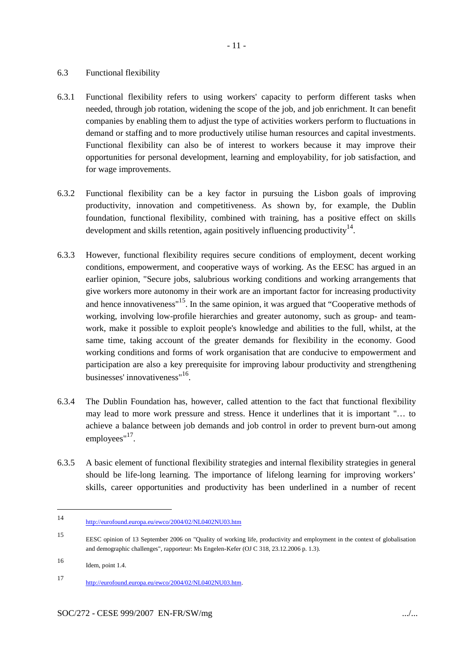### 6.3 Functional flexibility

- 6.3.1 Functional flexibility refers to using workers' capacity to perform different tasks when needed, through job rotation, widening the scope of the job, and job enrichment. It can benefit companies by enabling them to adjust the type of activities workers perform to fluctuations in demand or staffing and to more productively utilise human resources and capital investments. Functional flexibility can also be of interest to workers because it may improve their opportunities for personal development, learning and employability, for job satisfaction, and for wage improvements.
- 6.3.2 Functional flexibility can be a key factor in pursuing the Lisbon goals of improving productivity, innovation and competitiveness. As shown by, for example, the Dublin foundation, functional flexibility, combined with training, has a positive effect on skills development and skills retention, again positively influencing productivity  $14$ .
- 6.3.3 However, functional flexibility requires secure conditions of employment, decent working conditions, empowerment, and cooperative ways of working. As the EESC has argued in an earlier opinion, "Secure jobs, salubrious working conditions and working arrangements that give workers more autonomy in their work are an important factor for increasing productivity and hence innovativeness"<sup>15</sup>. In the same opinion, it was argued that "Cooperative methods of working, involving low-profile hierarchies and greater autonomy, such as group- and teamwork, make it possible to exploit people's knowledge and abilities to the full, whilst, at the same time, taking account of the greater demands for flexibility in the economy. Good working conditions and forms of work organisation that are conducive to empowerment and participation are also a key prerequisite for improving labour productivity and strengthening businesses' innovativeness"<sup>16</sup>.
- 6.3.4 The Dublin Foundation has, however, called attention to the fact that functional flexibility may lead to more work pressure and stress. Hence it underlines that it is important "… to achieve a balance between job demands and job control in order to prevent burn-out among employees"<sup>17</sup>.
- 6.3.5 A basic element of functional flexibility strategies and internal flexibility strategies in general should be life-long learning. The importance of lifelong learning for improving workers' skills, career opportunities and productivity has been underlined in a number of recent

<sup>14</sup> http://eurofound.europa.eu/ewco/2004/02/NL0402NU03.htm

<sup>15</sup> EESC opinion of 13 September 2006 on "Quality of working life, productivity and employment in the context of globalisation and demographic challenges", rapporteur: Ms Engelen-Kefer (OJ C 318, 23.12.2006 p. 1.3).

<sup>16</sup> Idem, point 1.4.

<sup>17</sup> http://eurofound.europa.eu/ewco/2004/02/NL0402NU03.htm.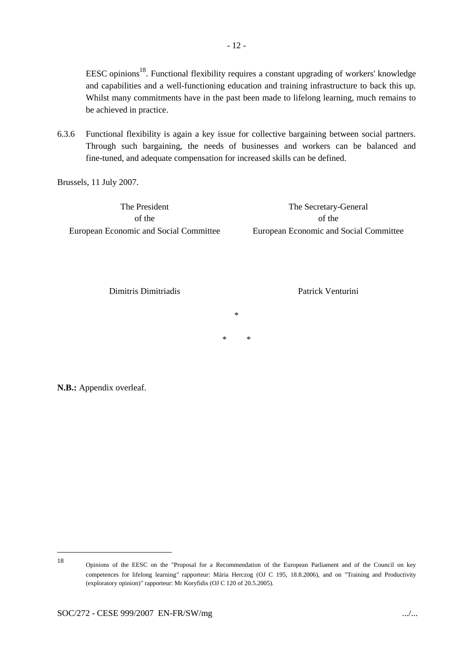EESC opinions<sup>18</sup>. Functional flexibility requires a constant upgrading of workers' knowledge and capabilities and a well-functioning education and training infrastructure to back this up. Whilst many commitments have in the past been made to lifelong learning, much remains to be achieved in practice.

6.3.6 Functional flexibility is again a key issue for collective bargaining between social partners. Through such bargaining, the needs of businesses and workers can be balanced and fine-tuned, and adequate compensation for increased skills can be defined.

Brussels, 11 July 2007.

The President of the European Economic and Social Committee

The Secretary-General of the European Economic and Social Committee

Dimitris Dimitriadis

Patrick Venturini

\* \*

\*

**N.B.:** Appendix overleaf.

<sup>18</sup>

Opinions of the EESC on the "Proposal for a Recommendation of the European Parliament and of the Council on key competences for lifelong learning*"* rapporteur: Mária Herczog (OJ C 195, 18.8.2006), and on "Training and Productivity (exploratory opinion)*"* rapporteur: Mr Koryfidis (OJ C 120 of 20.5.2005).